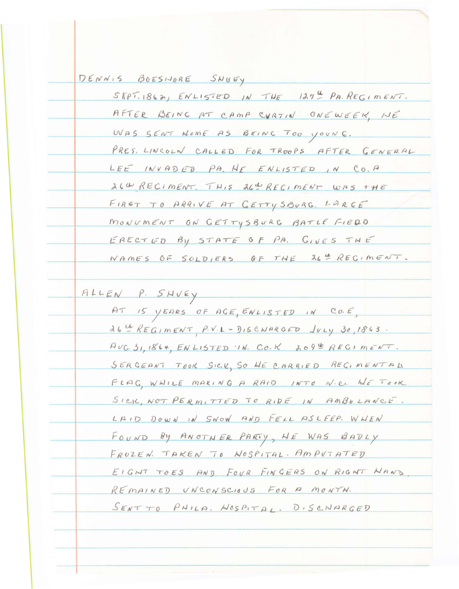DENNIS BOESINORE SNUEY  $SEPT.1862$ ,  $ENLISTED IN THE 137<sup>U</sup> PR. REGIMENT.$ AFTER BEING AT CAMP CURTIN ONEWEEK, NE WAS SENT NOME AS BEING TOO YOUNG. PRES. LINCOLN CALLED FOR TROOPS AFTER GENERAL LEE INVADED PA. HE ENLISTED IN CO.A 264 RECIMENT. THIS 264 RECIMENT WAS THE FIRST TO ARRIVE AT GETTY SBURG. LARGE MONUMENT ON GETTYSBURG BATLE FIEDD ERECTED BY STATE OF PA. GIVES THE NAMES OF SOLDIERS OF THE 26th RECIMENT. ALLEN P. SHVEY AT IS YEARS OF ACE, ENLISTED IN CO.E,  $d6 \stackrel{th}{=} REG/mENT$ ,  $P.V.L-DISCMRGED$   $JVLY$ ,  $3a,1863$ .  $AUC. 31, 1864, EN LISTED 1N. CO.K \tA O9E REGI METVT.$ SERGEANT TOOK SICK, SO HE CARRIED REGIMENTAL FLAG, WHILE MAKING A RAID INTO N.C. WE TOOK SICK, NOT PERMITTED TO RIDE IN AMBULANCE. LAID DOWN IN SNOW AND FELL ASLEEP. WHEN FOUND BY ANOTHER PARTY, HE WAS BADLY FROZEN. TAKEN TO WOSPITAL. AMPUTATED EIGHT TOES AND FOUR FINGERS ON RIGHT HAND REMAINED UNCONSCIOUS FOR A MONTH. SENTTO PHILA. NOSPITAL. DISCHARGED